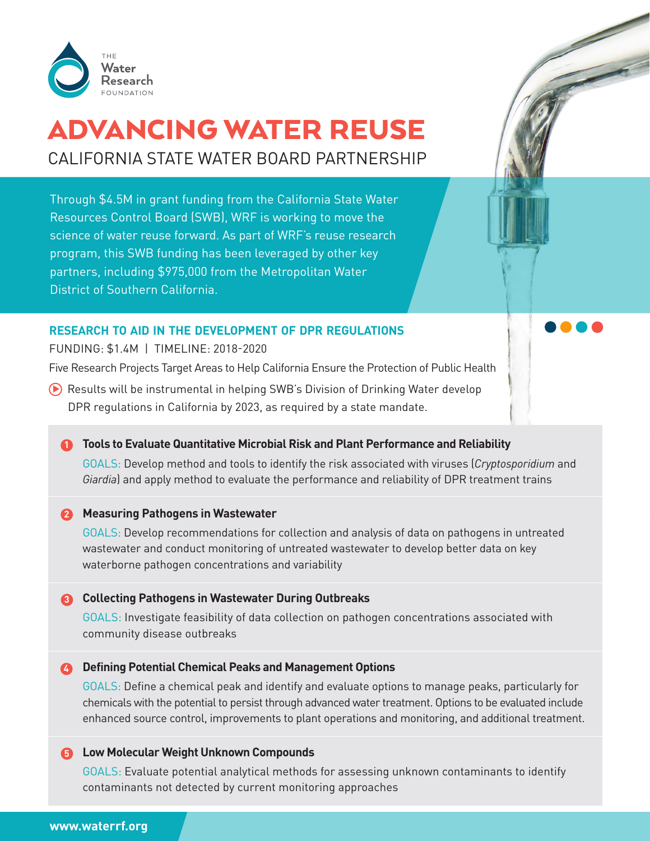

# ADVANCING WATER REUSE CALIFORNIA STATE WATER BOARD PARTNERSHIP

Through \$4.5M in grant funding from the California State Water Resources Control Board (SWB), WRF is working to move the science of water reuse forward. As part of WRF's reuse research program, this SWB funding has been leveraged by other key partners, including \$975,000 from the Metropolitan Water District of Southern California.

# **RESEARCH TO AID IN THE DEVELOPMENT OF DPR REGULATIONS**

FUNDING: \$1.4M | TIMELINE: 2018-2020

Five Research Projects Target Areas to Help California Ensure the Protection of Public Health

◆ Results will be instrumental in helping SWB's Division of Drinking Water develop DPR regulations in California by 2023, as required by a state mandate.

### **n** Tools to Evaluate Quantitative Microbial Risk and Plant Performance and Reliability

GOALS: Develop method and tools to identify the risk associated with viruses (*Cryptosporidium* and *Giardia*) and apply method to evaluate the performance and reliability of DPR treatment trains

### **2** Measuring Pathogens in Wastewater

GOALS: Develop recommendations for collection and analysis of data on pathogens in untreated wastewater and conduct monitoring of untreated wastewater to develop better data on key waterborne pathogen concentrations and variability

### **Collecting Pathogens in Wastewater During Outbreaks 3**

GOALS: Investigate feasibility of data collection on pathogen concentrations associated with community disease outbreaks

### **4** Defining Potential Chemical Peaks and Management Options

GOALS: Define a chemical peak and identify and evaluate options to manage peaks, particularly for chemicals with the potential to persist through advanced water treatment. Options to be evaluated include enhanced source control, improvements to plant operations and monitoring, and additional treatment.

#### **Low Molecular Weight Unknown Compounds 5**

GOALS: Evaluate potential analytical methods for assessing unknown contaminants to identify contaminants not detected by current monitoring approaches